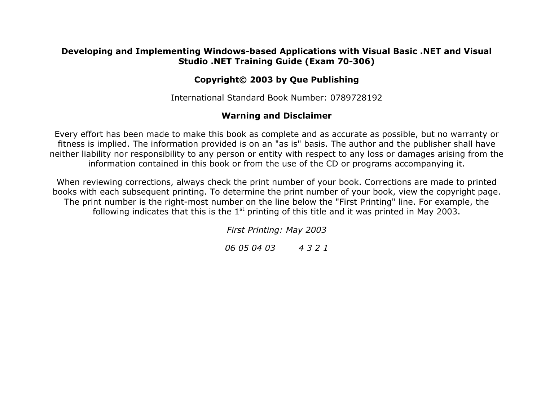#### **Developing and Implementing Windows-based Applications with Visual Basic .NET and Visual Studio .NET Training Guide (Exam 70-306)**

### **Copyright© 2003 by Que Publishing**

International Standard Book Number: 0789728192

### **Warning and Disclaimer**

Every effort has been made to make this book as complete and as accurate as possible, but no warranty or fitness is implied. The information provided is on an "as is" basis. The author and the publisher shall have neither liability nor responsibility to any person or entity with respect to any loss or damages arising from the information contained in this book or from the use of the CD or programs accompanying it.

When reviewing corrections, always check the print number of your book. Corrections are made to printed books with each subsequent printing. To determine the print number of your book, view the copyright page. The print number is the right-most number on the line below the "First Printing" line. For example, the following indicates that this is the  $1<sup>st</sup>$  printing of this title and it was printed in May 2003.

*First Printing: May 2003*

*06 05 04 03 4 3 2 1*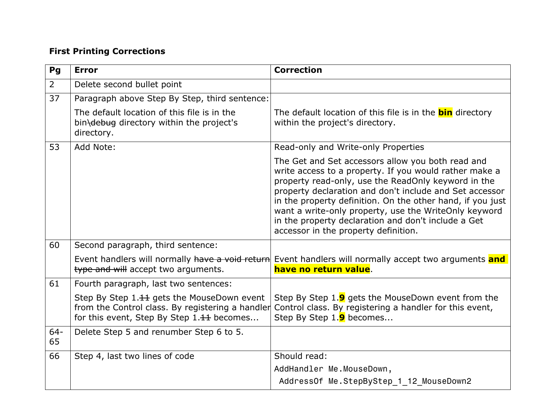## **First Printing Corrections**

| Pg             | <b>Error</b>                                                                                                                                | <b>Correction</b>                                                                                                                                                                                                                                                                                                                                                                                                                                   |
|----------------|---------------------------------------------------------------------------------------------------------------------------------------------|-----------------------------------------------------------------------------------------------------------------------------------------------------------------------------------------------------------------------------------------------------------------------------------------------------------------------------------------------------------------------------------------------------------------------------------------------------|
| $\overline{2}$ | Delete second bullet point                                                                                                                  |                                                                                                                                                                                                                                                                                                                                                                                                                                                     |
| 37             | Paragraph above Step By Step, third sentence:                                                                                               |                                                                                                                                                                                                                                                                                                                                                                                                                                                     |
|                | The default location of this file is in the<br>bin\debug directory within the project's<br>directory.                                       | The default location of this file is in the <b>bin</b> directory<br>within the project's directory.                                                                                                                                                                                                                                                                                                                                                 |
| 53             | Add Note:                                                                                                                                   | Read-only and Write-only Properties                                                                                                                                                                                                                                                                                                                                                                                                                 |
|                |                                                                                                                                             | The Get and Set accessors allow you both read and<br>write access to a property. If you would rather make a<br>property read-only, use the ReadOnly keyword in the<br>property declaration and don't include and Set accessor<br>in the property definition. On the other hand, if you just<br>want a write-only property, use the WriteOnly keyword<br>in the property declaration and don't include a Get<br>accessor in the property definition. |
| 60             | Second paragraph, third sentence:                                                                                                           |                                                                                                                                                                                                                                                                                                                                                                                                                                                     |
|                | Event handlers will normally have a void return<br>type and will accept two arguments.                                                      | Event handlers will normally accept two arguments and<br>have no return value.                                                                                                                                                                                                                                                                                                                                                                      |
| 61             | Fourth paragraph, last two sentences:                                                                                                       |                                                                                                                                                                                                                                                                                                                                                                                                                                                     |
|                | Step By Step 1.11 gets the MouseDown event<br>from the Control class. By registering a handler<br>for this event, Step By Step 1.11 becomes | Step By Step 1.9 gets the MouseDown event from the<br>Control class. By registering a handler for this event,<br>Step By Step 1.9 becomes                                                                                                                                                                                                                                                                                                           |
| $64 -$<br>65   | Delete Step 5 and renumber Step 6 to 5.                                                                                                     |                                                                                                                                                                                                                                                                                                                                                                                                                                                     |
| 66             | Step 4, last two lines of code                                                                                                              | Should read:                                                                                                                                                                                                                                                                                                                                                                                                                                        |
|                |                                                                                                                                             | AddHandler Me.MouseDown,                                                                                                                                                                                                                                                                                                                                                                                                                            |
|                |                                                                                                                                             | AddressOf Me. StepByStep 1 12 MouseDown2                                                                                                                                                                                                                                                                                                                                                                                                            |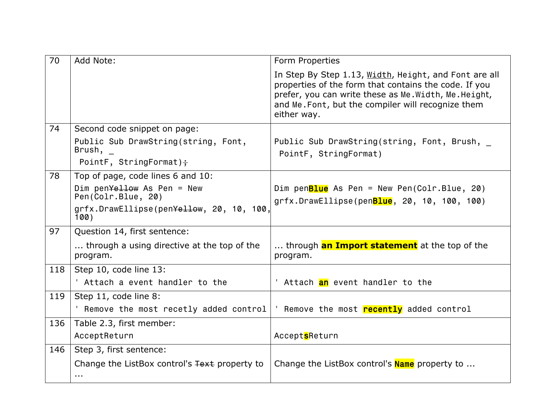| 70  | Add Note:                                                     | Form Properties                                                                                                                                                                                                                              |
|-----|---------------------------------------------------------------|----------------------------------------------------------------------------------------------------------------------------------------------------------------------------------------------------------------------------------------------|
|     |                                                               | In Step By Step 1.13, Width, Height, and Font are all<br>properties of the form that contains the code. If you<br>prefer, you can write these as Me. Width, Me. Height,<br>and Me. Font, but the compiler will recognize them<br>either way. |
| 74  | Second code snippet on page:                                  |                                                                                                                                                                                                                                              |
|     | Public Sub DrawString(string, Font,<br>Brush,                 | Public Sub DrawString(string, Font, Brush,<br>PointF, StringFormat)                                                                                                                                                                          |
|     | PointF, StringFormat) $\frac{1}{1}$                           |                                                                                                                                                                                                                                              |
| 78  | Top of page, code lines 6 and 10:                             |                                                                                                                                                                                                                                              |
|     | Dim pen $Y$ ellow As Pen = New<br>Pen(Colr.Blue, 20)          | Dim pen <mark>Blue</mark> As Pen = New Pen(Colr.Blue, 20)<br>grfx.DrawEllipse(penBlue, 20, 10, 100, 100)                                                                                                                                     |
|     | grfx.DrawEllipse(pen <del>Yellow</del> , 20, 10, 100,<br>100) |                                                                                                                                                                                                                                              |
| 97  | Question 14, first sentence:                                  |                                                                                                                                                                                                                                              |
|     | through a using directive at the top of the<br>program.       | through <b>an Import statement</b> at the top of the<br>program.                                                                                                                                                                             |
| 118 | Step 10, code line 13:                                        |                                                                                                                                                                                                                                              |
|     | ' Attach a event handler to the                               | ' Attach <mark>an</mark> event handler to the                                                                                                                                                                                                |
| 119 | Step 11, code line 8:                                         |                                                                                                                                                                                                                                              |
|     | Remove the most recetly added control                         | Remove the most recently added control                                                                                                                                                                                                       |
| 136 | Table 2.3, first member:                                      |                                                                                                                                                                                                                                              |
|     | AcceptReturn                                                  | AcceptsReturn                                                                                                                                                                                                                                |
| 146 | Step 3, first sentence:                                       |                                                                                                                                                                                                                                              |
|     | Change the ListBox control's Text property to                 | Change the ListBox control's <b>Name</b> property to                                                                                                                                                                                         |
|     | $\cdots$                                                      |                                                                                                                                                                                                                                              |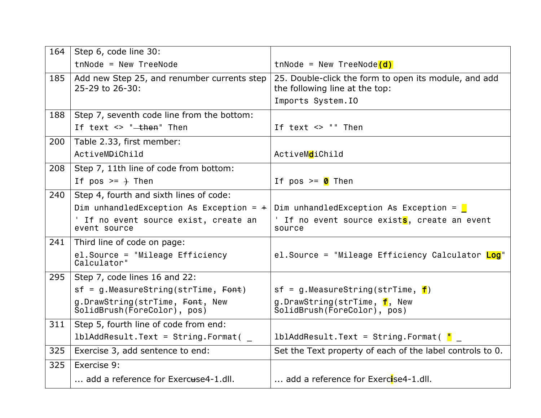| 164 | Step 6, code line 30:                                          |                                                                                         |
|-----|----------------------------------------------------------------|-----------------------------------------------------------------------------------------|
|     | $t$ nNode = New TreeNode                                       | $t$ nNode = New TreeNode $(d)$                                                          |
| 185 | Add new Step 25, and renumber currents step<br>25-29 to 26-30: | 25. Double-click the form to open its module, and add<br>the following line at the top: |
|     |                                                                | Imports System. IO                                                                      |
| 188 | Step 7, seventh code line from the bottom:                     |                                                                                         |
|     | If text $\leq$ " $\pm$ hen" Then                               | If text $\le$ $"$ Then                                                                  |
| 200 | Table 2.33, first member:                                      |                                                                                         |
|     | ActiveMDiChild                                                 | ActiveMdiChild                                                                          |
| 208 | Step 7, 11th line of code from bottom:                         |                                                                                         |
|     | If $pos \geq +$ Then                                           | If pos $>= 0$ Then                                                                      |
| 240 | Step 4, fourth and sixth lines of code:                        |                                                                                         |
|     | Dim unhandledException As Exception = $\pm$                    | Dim unhandledException As Exception = $\blacksquare$                                    |
|     | ' If no event source exist, create an<br>event source          | ' If no event source exists, create an event<br>source                                  |
| 241 | Third line of code on page:                                    |                                                                                         |
|     | el.Source = "Mileage Efficiency<br>Calculator"                 | el.Source = "Mileage Efficiency Calculator Log"                                         |
| 295 | Step 7, code lines 16 and 22:                                  |                                                                                         |
|     | $sf = g.MeasureString(strTime, Font)$                          | $sf = g.MeasureString(strTime, f)$                                                      |
|     | g.DrawString(strTime, Font, New<br>ŠolidBrush(ForeColor), pos) | g.DrawString(strTime, f, New<br>SolidBrush(ForeColor), pos)                             |
| 311 | Step 5, fourth line of code from end:                          |                                                                                         |
|     | $1b1AddResult.Text = String.Format($                           | 1blAddResult.Text = String.Format( <mark>"</mark>                                       |
| 325 | Exercise 3, add sentence to end:                               | Set the Text property of each of the label controls to 0.                               |
| 325 | Exercise 9:                                                    |                                                                                         |
|     | add a reference for Exercuse4-1.dll.                           | add a reference for Exercise4-1.dll.                                                    |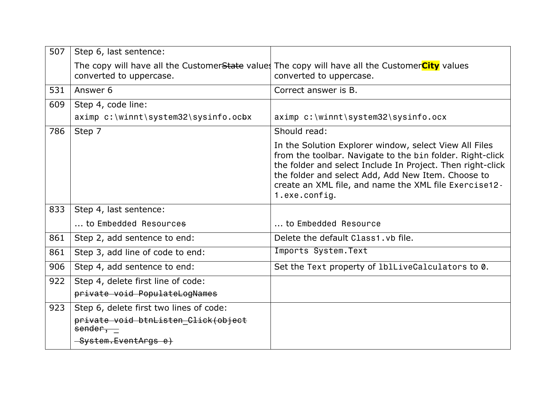| 507 | Step 6, last sentence:                         |                                                                                                                                                                                                                                                                                                                    |
|-----|------------------------------------------------|--------------------------------------------------------------------------------------------------------------------------------------------------------------------------------------------------------------------------------------------------------------------------------------------------------------------|
|     | converted to uppercase.                        | The copy will have all the Customer <del>State</del> values The copy will have all the CustomerCity values<br>converted to uppercase.                                                                                                                                                                              |
| 531 | Answer 6                                       | Correct answer is B.                                                                                                                                                                                                                                                                                               |
| 609 | Step 4, code line:                             |                                                                                                                                                                                                                                                                                                                    |
|     | aximp c:\winnt\system32\sysinfo.ocbx           | aximp c:\winnt\system32\sysinfo.ocx                                                                                                                                                                                                                                                                                |
| 786 | Step 7                                         | Should read:                                                                                                                                                                                                                                                                                                       |
|     |                                                | In the Solution Explorer window, select View All Files<br>from the toolbar. Navigate to the bin folder. Right-click<br>the folder and select Include In Project. Then right-click<br>the folder and select Add, Add New Item. Choose to<br>create an XML file, and name the XML file Exercise12 -<br>1.exe.config. |
| 833 | Step 4, last sentence:                         |                                                                                                                                                                                                                                                                                                                    |
|     | to Embedded Resources                          | to Embedded Resource                                                                                                                                                                                                                                                                                               |
| 861 | Step 2, add sentence to end:                   | Delete the default Class1, vb file.                                                                                                                                                                                                                                                                                |
| 861 | Step 3, add line of code to end:               | Imports System. Text                                                                                                                                                                                                                                                                                               |
| 906 | Step 4, add sentence to end:                   | Set the Text property of 1blLiveCalculators to 0.                                                                                                                                                                                                                                                                  |
| 922 | Step 4, delete first line of code:             |                                                                                                                                                                                                                                                                                                                    |
|     | private void PopulateLogNames                  |                                                                                                                                                                                                                                                                                                                    |
| 923 | Step 6, delete first two lines of code:        |                                                                                                                                                                                                                                                                                                                    |
|     | private void btnListen Click(object<br>sender, |                                                                                                                                                                                                                                                                                                                    |
|     | -System.EventArgs e)                           |                                                                                                                                                                                                                                                                                                                    |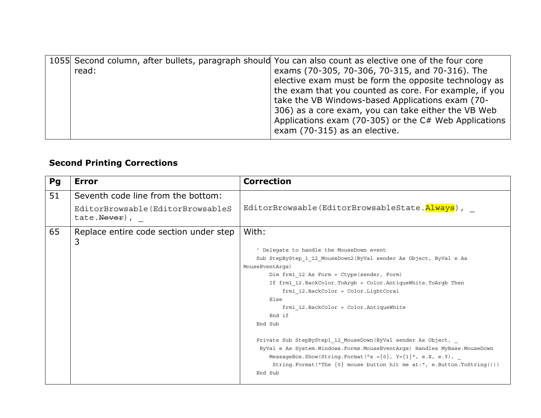|       |  | 1055 Second column, after bullets, paragraph should You can also count as elective one of the four core |
|-------|--|---------------------------------------------------------------------------------------------------------|
| read: |  | exams (70-305, 70-306, 70-315, and 70-316). The                                                         |
|       |  | elective exam must be form the opposite technology as                                                   |
|       |  | the exam that you counted as core. For example, if you                                                  |
|       |  | take the VB Windows-based Applications exam (70-                                                        |
|       |  | 306) as a core exam, you can take either the VB Web                                                     |
|       |  | Applications exam (70-305) or the C# Web Applications                                                   |
|       |  | exam (70-315) as an elective.                                                                           |

# **Second Printing Corrections**

| Pg | <b>Error</b>                                                  | <b>Correction</b>                                                             |
|----|---------------------------------------------------------------|-------------------------------------------------------------------------------|
| 51 | Seventh code line from the bottom:                            |                                                                               |
|    | EditorBrowsable(EditorBrowsableS<br>tate. <del>Never</del> ), | EditorBrowsable(EditorBrowsableState.Always),                                 |
| 65 | Replace entire code section under step<br>3                   | With:                                                                         |
|    |                                                               | ' Delegate to handle the MouseDown event                                      |
|    |                                                               | Sub StepByStep_1_12_MouseDown2(ByVal sender As Object, ByVal e As             |
|    |                                                               | MouseEventArqs)                                                               |
|    |                                                               | Dim frm1 12 As Form = Ctype (sender, Form)                                    |
|    |                                                               | If frm1 12.BackColor.ToArgb = Color.AntiqueWhite.ToArgb Then                  |
|    |                                                               | frm1 12.BackColor = Color.LightCoral                                          |
|    |                                                               | Else                                                                          |
|    |                                                               | frm1 12. BackColor = Color. AntiqueWhite                                      |
|    |                                                               | End if                                                                        |
|    |                                                               | End Sub                                                                       |
|    |                                                               | Private Sub StepByStep1 12 MouseDown (ByVal sender As Object,                 |
|    |                                                               | ByVal e As System. Windows. Forms. MouseEventArgs) Handles MyBase. MouseDown  |
|    |                                                               | MessageBox. Show (String. Format ("x = {0}, Y= {1}", e.X, e.Y), _             |
|    |                                                               | String. Format ("The $\{0\}$ mouse button hit me at:", e.Button. ToString())) |
|    |                                                               | End Sub                                                                       |
|    |                                                               |                                                                               |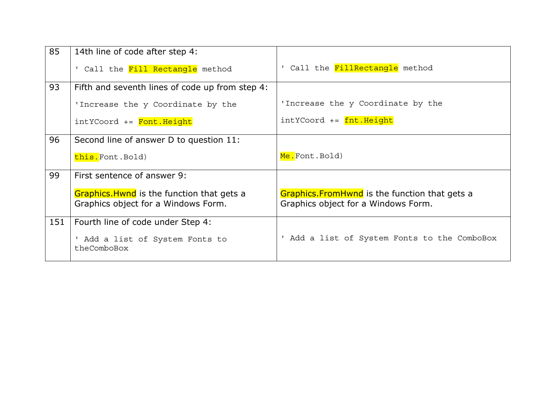| 85  | 14th line of code after step 4:                                                   |                                                                                             |
|-----|-----------------------------------------------------------------------------------|---------------------------------------------------------------------------------------------|
|     | ' Call the Fill Rectangle method                                                  | Call the FillRectangle method                                                               |
| 93  | Fifth and seventh lines of code up from step 4:                                   |                                                                                             |
|     | 'Increase the y Coordinate by the                                                 | 'Increase the y Coordinate by the                                                           |
|     | intYCoord += Font. Height                                                         | intYCoord += fnt. Height                                                                    |
| 96  | Second line of answer D to question 11:                                           |                                                                                             |
|     | this.Font.Bold)                                                                   | Me.Font.Bold)                                                                               |
| 99  | First sentence of answer 9:                                                       |                                                                                             |
|     | Graphics. Hwnd is the function that gets a<br>Graphics object for a Windows Form. | <b>Graphics.FromHwnd</b> is the function that gets a<br>Graphics object for a Windows Form. |
| 151 | Fourth line of code under Step 4:                                                 |                                                                                             |
|     | ' Add a list of System Fonts to<br>theComboBox                                    | ' Add a list of System Fonts to the ComboBox                                                |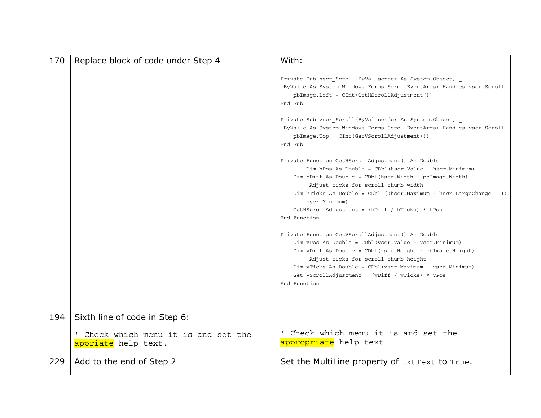| 170 | Replace block of code under Step 4                          | With:                                                                                                                                                                                                                                                                                                                                                                                                                                                                                                                                                                                                                                                                                                                                                                                                                                                                                              |
|-----|-------------------------------------------------------------|----------------------------------------------------------------------------------------------------------------------------------------------------------------------------------------------------------------------------------------------------------------------------------------------------------------------------------------------------------------------------------------------------------------------------------------------------------------------------------------------------------------------------------------------------------------------------------------------------------------------------------------------------------------------------------------------------------------------------------------------------------------------------------------------------------------------------------------------------------------------------------------------------|
|     |                                                             | Private Sub hscr Scroll (ByVal sender As System. Object,<br>ByVal e As System. Windows. Forms. ScrollEventArgs) Handles vscr. Scroll<br>$pbImage.Left = CInt(GetHScrollAdjustment())$<br>End Sub<br>Private Sub vscr_Scroll(ByVal sender As System.Object, _<br>ByVal e As System. Windows. Forms. ScrollEventArgs) Handles vscr. Scroll<br>pbImage.Top = CInt(GetVScrollAdjustment())<br>End Sub<br>Private Function GetHScrollAdjustment () As Double<br>Dim hPos As Double = CDbl (hscr. Value - hscr. Minimum)<br>Dim hDiff As Double = CDbl(hscr.Width - pbImage.Width)<br>'Adjust ticks for scroll thumb width<br>Dim hTicks As Double = CDbl ((hscr. Maximum - hscr. Large Change + 1)<br>hscr. Minimum)<br>GetHScrollAdjustment = $(hDiff / hTicks) * hPos$<br>End Function<br>Private Function GetVScrollAdjustment () As Double<br>Dim vPos As Double = CDbl (vscr.Value - vscr.Minimum) |
|     |                                                             | Dim vDiff As Double = CDbl (vscr. Height - pbImage. Height)<br>'Adjust ticks for scroll thumb height<br>Dim vTicks As Double = CDbl(vscr.Maximum - vscr.Minimum)<br>Get VScrollAdjustment = $(vDiff / vTicks) * vPos$<br>End Function                                                                                                                                                                                                                                                                                                                                                                                                                                                                                                                                                                                                                                                              |
|     |                                                             |                                                                                                                                                                                                                                                                                                                                                                                                                                                                                                                                                                                                                                                                                                                                                                                                                                                                                                    |
| 194 | Sixth line of code in Step 6:                               |                                                                                                                                                                                                                                                                                                                                                                                                                                                                                                                                                                                                                                                                                                                                                                                                                                                                                                    |
|     | ' Check which menu it is and set the<br>appriate help text. | ' Check which menu it is and set the<br>appropriate help text.                                                                                                                                                                                                                                                                                                                                                                                                                                                                                                                                                                                                                                                                                                                                                                                                                                     |
| 229 | Add to the end of Step 2                                    | Set the MultiLine property of txtText to True.                                                                                                                                                                                                                                                                                                                                                                                                                                                                                                                                                                                                                                                                                                                                                                                                                                                     |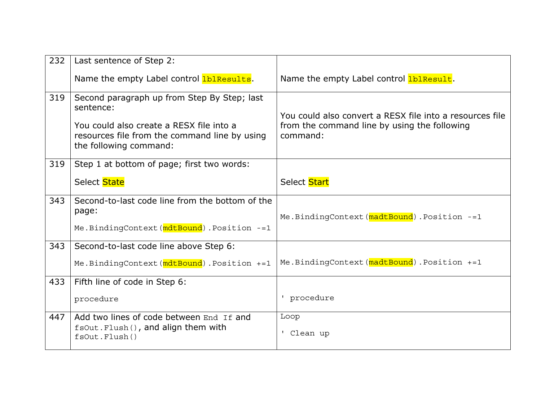| 232 | Last sentence of Step 2:                                                                                                                                                        |                                                                                                                      |
|-----|---------------------------------------------------------------------------------------------------------------------------------------------------------------------------------|----------------------------------------------------------------------------------------------------------------------|
|     | Name the empty Label control IbIResults.                                                                                                                                        | Name the empty Label control <b>IblResult</b> .                                                                      |
| 319 | Second paragraph up from Step By Step; last<br>sentence:<br>You could also create a RESX file into a<br>resources file from the command line by using<br>the following command: | You could also convert a RESX file into a resources file<br>from the command line by using the following<br>command: |
| 319 | Step 1 at bottom of page; first two words:                                                                                                                                      |                                                                                                                      |
|     | Select State                                                                                                                                                                    | Select Start                                                                                                         |
| 343 | Second-to-last code line from the bottom of the<br>page:<br>Me.BindingContext(mdtBound).Position -= 1                                                                           | Me.BindingContext(madtBound).Position -= 1                                                                           |
| 343 | Second-to-last code line above Step 6:                                                                                                                                          |                                                                                                                      |
|     | Me. BindingContext (mdtBound). Position +=1                                                                                                                                     | Me.BindingContext(madtBound).Position +=1                                                                            |
| 433 | Fifth line of code in Step 6:                                                                                                                                                   |                                                                                                                      |
|     | procedure                                                                                                                                                                       | ' procedure                                                                                                          |
| 447 | Add two lines of code between End If and<br>fsOut.Flush(), and align them with<br>fsOut.Flush()                                                                                 | Loop<br>Clean up                                                                                                     |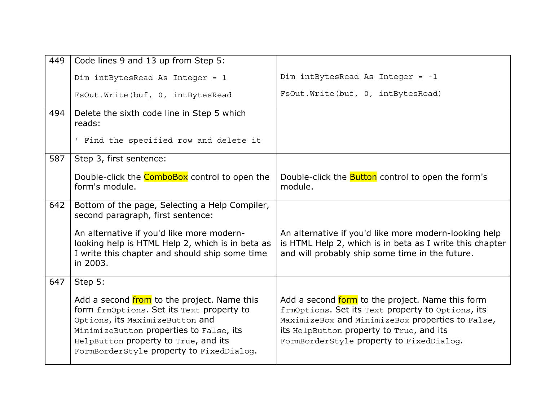| 449 | Code lines 9 and 13 up from Step 5:                                                                                                                                                                                                                        |                                                                                                                                                                                                                                                   |
|-----|------------------------------------------------------------------------------------------------------------------------------------------------------------------------------------------------------------------------------------------------------------|---------------------------------------------------------------------------------------------------------------------------------------------------------------------------------------------------------------------------------------------------|
|     | Dim intBytesRead As Integer = 1                                                                                                                                                                                                                            | Dim intBytesRead As Integer = $-1$                                                                                                                                                                                                                |
|     | FsOut. Write (buf, 0, intBytesRead                                                                                                                                                                                                                         | FsOut. Write (buf, 0, intBytesRead)                                                                                                                                                                                                               |
| 494 | Delete the sixth code line in Step 5 which<br>reads:                                                                                                                                                                                                       |                                                                                                                                                                                                                                                   |
|     | ' Find the specified row and delete it                                                                                                                                                                                                                     |                                                                                                                                                                                                                                                   |
| 587 | Step 3, first sentence:                                                                                                                                                                                                                                    |                                                                                                                                                                                                                                                   |
|     | Double-click the <b>ComboBox</b> control to open the<br>form's module.                                                                                                                                                                                     | Double-click the <b>Button</b> control to open the form's<br>module.                                                                                                                                                                              |
| 642 | Bottom of the page, Selecting a Help Compiler,<br>second paragraph, first sentence:                                                                                                                                                                        |                                                                                                                                                                                                                                                   |
|     | An alternative if you'd like more modern-<br>looking help is HTML Help 2, which is in beta as<br>I write this chapter and should ship some time<br>in 2003.                                                                                                | An alternative if you'd like more modern-looking help<br>is HTML Help 2, which is in beta as I write this chapter<br>and will probably ship some time in the future.                                                                              |
| 647 | Step 5:                                                                                                                                                                                                                                                    |                                                                                                                                                                                                                                                   |
|     | Add a second from to the project. Name this<br>form frmOptions. Set its Text property to<br>Options, its MaximizeButton and<br>MinimizeButton properties to False, its<br>HelpButton property to True, and its<br>FormBorderStyle property to FixedDialog. | Add a second form to the project. Name this form<br>frmOptions. Set its Text property to Options, its<br>MaximizeBox and MinimizeBox properties to False,<br>its HelpButton property to True, and its<br>FormBorderStyle property to FixedDialog. |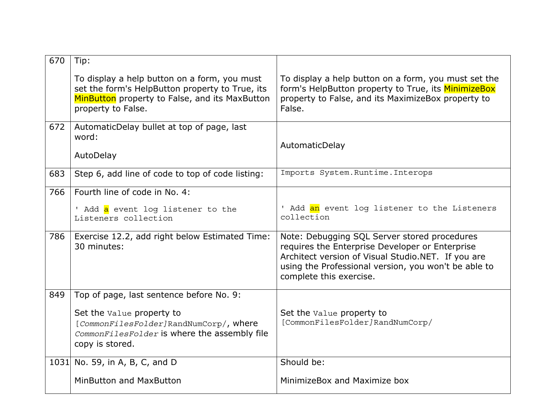| 670 | Tip:                                                                                                                                                                    |                                                                                                                                                                                                                                          |
|-----|-------------------------------------------------------------------------------------------------------------------------------------------------------------------------|------------------------------------------------------------------------------------------------------------------------------------------------------------------------------------------------------------------------------------------|
|     | To display a help button on a form, you must<br>set the form's HelpButton property to True, its<br>MinButton property to False, and its MaxButton<br>property to False. | To display a help button on a form, you must set the<br>form's HelpButton property to True, its MinimizeBox<br>property to False, and its MaximizeBox property to<br>False.                                                              |
| 672 | AutomaticDelay bullet at top of page, last<br>word:<br>AutoDelay                                                                                                        | AutomaticDelay                                                                                                                                                                                                                           |
| 683 | Step 6, add line of code to top of code listing:                                                                                                                        | Imports System. Runtime. Interops                                                                                                                                                                                                        |
| 766 | Fourth line of code in No. 4:                                                                                                                                           |                                                                                                                                                                                                                                          |
|     | ' Add <mark>a</mark> event log listener to the<br>Listeners collection                                                                                                  | ' Add an event log listener to the Listeners<br>collection                                                                                                                                                                               |
| 786 | Exercise 12.2, add right below Estimated Time:<br>30 minutes:                                                                                                           | Note: Debugging SQL Server stored procedures<br>requires the Enterprise Developer or Enterprise<br>Architect version of Visual Studio.NET. If you are<br>using the Professional version, you won't be able to<br>complete this exercise. |
| 849 | Top of page, last sentence before No. 9:                                                                                                                                |                                                                                                                                                                                                                                          |
|     | Set the value property to<br>[CommonFilesFolder]RandNumCorp/, where<br>CommonFilesFolder is where the assembly file<br>copy is stored.                                  | Set the Value property to<br>[CommonFilesFolder]RandNumCorp/                                                                                                                                                                             |
|     | 1031 No. 59, in A, B, C, and D                                                                                                                                          | Should be:                                                                                                                                                                                                                               |
|     | MinButton and MaxButton                                                                                                                                                 | MinimizeBox and Maximize box                                                                                                                                                                                                             |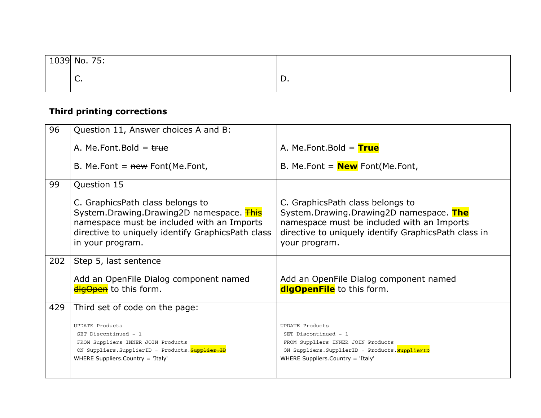| 1039 No. 75:                   |    |
|--------------------------------|----|
| $\overline{\phantom{0}}$<br>J. | υ. |

## **Third printing corrections**

| 96  | Question 11, Answer choices A and B:                                                                                                                                                                |                                                                                                                                                                                                    |
|-----|-----------------------------------------------------------------------------------------------------------------------------------------------------------------------------------------------------|----------------------------------------------------------------------------------------------------------------------------------------------------------------------------------------------------|
|     | A. Me. Font. Bold = $true$                                                                                                                                                                          | A. Me. Font. Bold = $True$                                                                                                                                                                         |
|     | B. Me. Font $=$ new Font (Me. Font,                                                                                                                                                                 | B. Me.Font = $New$ Font(Me.Font,                                                                                                                                                                   |
| 99  | Question 15                                                                                                                                                                                         |                                                                                                                                                                                                    |
|     | C. GraphicsPath class belongs to<br>System.Drawing.Drawing2D namespace. This<br>namespace must be included with an Imports<br>directive to uniquely identify GraphicsPath class<br>in your program. | C. GraphicsPath class belongs to<br>System.Drawing.Drawing2D namespace. The<br>namespace must be included with an Imports<br>directive to uniquely identify GraphicsPath class in<br>your program. |
| 202 | Step 5, last sentence                                                                                                                                                                               |                                                                                                                                                                                                    |
|     | Add an OpenFile Dialog component named<br>dlgOpen to this form.                                                                                                                                     | Add an OpenFile Dialog component named<br>dlgOpenFile to this form.                                                                                                                                |
| 429 | Third set of code on the page:                                                                                                                                                                      |                                                                                                                                                                                                    |
|     | <b>UPDATE Products</b><br>SET Discontinued = 1<br>FROM Suppliers INNER JOIN Products<br>ON Suppliers. SupplierID = Products. <b>Supplie</b><br>WHERE Suppliers.Country = 'Italy'                    | <b>UPDATE Products</b><br>SET Discontinued = $1$<br>FROM Suppliers INNER JOIN Products<br>ON Suppliers. SupplierID = Products. SupplierID<br>WHERE Suppliers.Country = 'Italy'                     |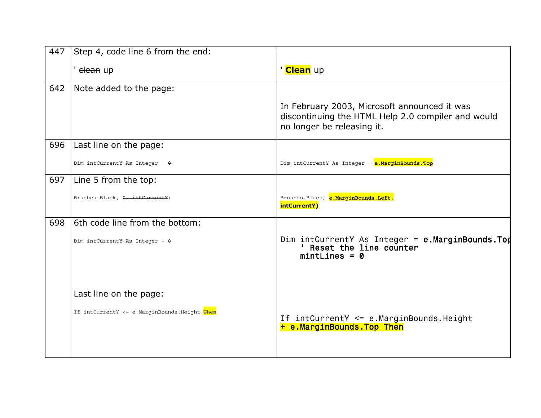| 447 | Step 4, code line 6 from the end:            |                                                                                                                                  |
|-----|----------------------------------------------|----------------------------------------------------------------------------------------------------------------------------------|
|     | ' <del>clean</del> up                        | ' <mark>Clean</mark> up                                                                                                          |
| 642 | Note added to the page:                      |                                                                                                                                  |
|     |                                              | In February 2003, Microsoft announced it was<br>discontinuing the HTML Help 2.0 compiler and would<br>no longer be releasing it. |
| 696 | Last line on the page:                       |                                                                                                                                  |
|     | Dim intCurrentY As Integer = $\theta$        | Dim intCurrentY As Integer = e.MarginBounds.Top                                                                                  |
| 697 | Line 5 from the top:                         |                                                                                                                                  |
|     | Brushes.Black, $0, \text{intCurrentY}$ )     | Brushes.Black, e.MarginBounds.Left,<br>intCurrentY)                                                                              |
| 698 | 6th code line from the bottom:               |                                                                                                                                  |
|     | Dim intCurrentY As Integer = $\theta$        | Dim intCurrentY As Integer = $e$ .MarginBounds.Top<br>Reset the line counter<br>$mintLines = 0$                                  |
|     | Last line on the page:                       |                                                                                                                                  |
|     | If intCurrentY <= e.MarginBounds.Height Then | If intCurrentY <= e.MarginBounds.Height<br>+ e.MarginBounds.Top Then                                                             |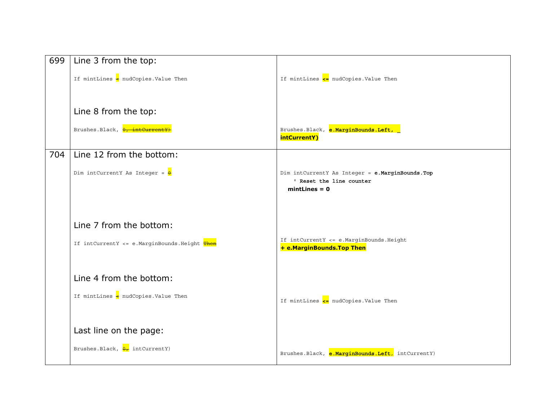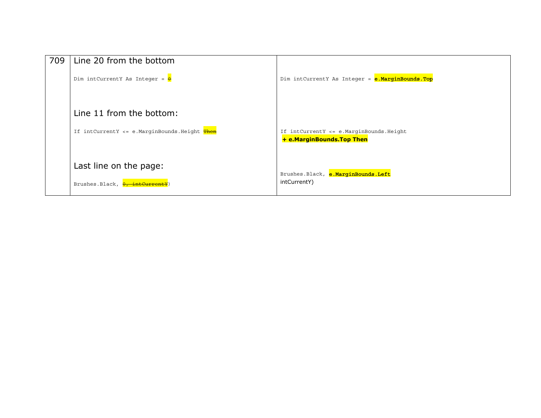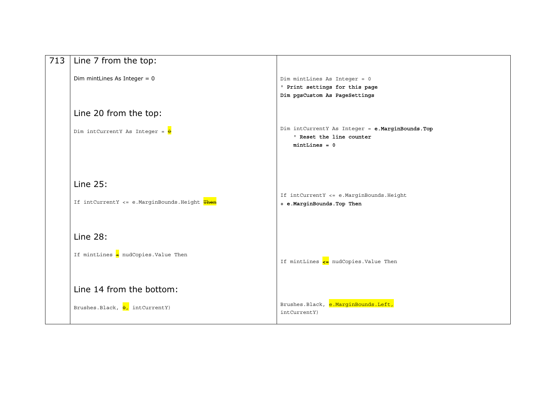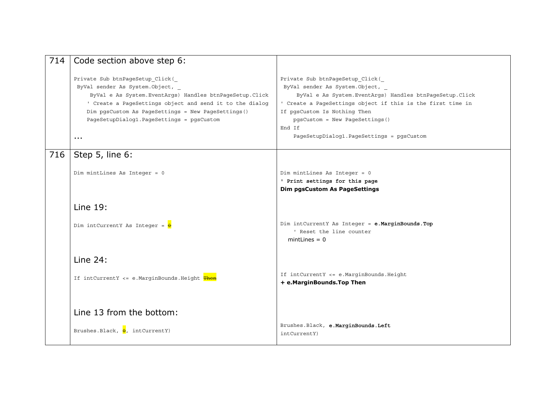| 714 | Code section above step 6:                                                                                                                                                                                                                                                                                      |                                                                                                                                                                                                                                                                                                                          |
|-----|-----------------------------------------------------------------------------------------------------------------------------------------------------------------------------------------------------------------------------------------------------------------------------------------------------------------|--------------------------------------------------------------------------------------------------------------------------------------------------------------------------------------------------------------------------------------------------------------------------------------------------------------------------|
|     | Private Sub btnPageSetup Click(<br>ByVal sender As System. Object,<br>ByVal e As System. EventArgs) Handles btnPageSetup. Click<br>' Create a PageSettings object and send it to the dialog<br>Dim pgsCustom As PageSettings = New PageSettings()<br>PageSetupDialog1.PageSettings = pgsCustom<br>$\sim$ $\sim$ | Private Sub btnPageSetup Click (<br>ByVal sender As System. Object,<br>ByVal e As System. EventArgs) Handles btnPageSetup. Click<br>' Create a PageSettings object if this is the first time in<br>If pgsCustom Is Nothing Then<br>pgsCustom = New PageSettings()<br>End If<br>PageSetupDialog1.PageSettings = pgsCustom |
| 716 | Step 5, line 6:                                                                                                                                                                                                                                                                                                 |                                                                                                                                                                                                                                                                                                                          |
|     | Dim mintLines As Integer = 0                                                                                                                                                                                                                                                                                    | Dim mintLines As Integer = 0<br>' Print settings for this page<br><b>Dim pgsCustom As PageSettings</b>                                                                                                                                                                                                                   |
|     | Line 19:                                                                                                                                                                                                                                                                                                        |                                                                                                                                                                                                                                                                                                                          |
|     | Dim intCurrentY As Integer = $\frac{1}{\theta}$                                                                                                                                                                                                                                                                 | Dim intCurrentY As Integer = e.MarginBounds.Top<br>' Reset the line counter<br>$minutes = 0$                                                                                                                                                                                                                             |
|     | Line $24$ :                                                                                                                                                                                                                                                                                                     |                                                                                                                                                                                                                                                                                                                          |
|     | If intCurrentY <= e.MarginBounds.Height Then                                                                                                                                                                                                                                                                    | If intCurrentY <= e.MarginBounds.Height<br>+ e.MarginBounds.Top Then                                                                                                                                                                                                                                                     |
|     | Line 13 from the bottom:<br>Brushes.Black, $\theta$ , intCurrentY)                                                                                                                                                                                                                                              | Brushes.Black, e.MarginBounds.Left<br>intCurrentY)                                                                                                                                                                                                                                                                       |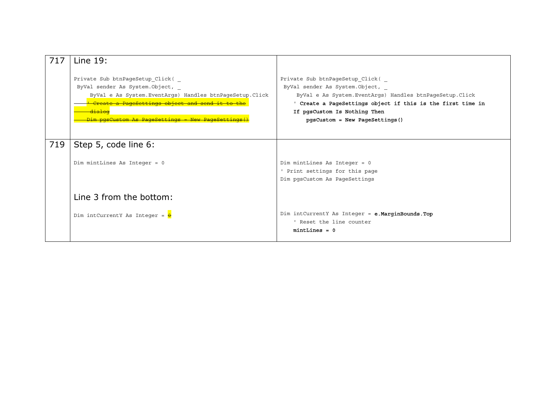| 717 | Line $19:$                                                                                                                                                                                                                                                             |                                                                                                                                                                                                                                                                  |
|-----|------------------------------------------------------------------------------------------------------------------------------------------------------------------------------------------------------------------------------------------------------------------------|------------------------------------------------------------------------------------------------------------------------------------------------------------------------------------------------------------------------------------------------------------------|
|     | Private Sub btnPageSetup Click (<br>ByVal sender As System. Object, _<br>ByVal e As System. EventArqs) Handles btnPaqeSetup. Click<br><del>Create a PageSettings object and send it to the</del><br><del>dialog</del><br>Dim pasCustom As PageSettings = New PageSetti | Private Sub btnPageSetup Click (<br>ByVal sender As System.Object,<br>ByVal e As System. EventArqs) Handles btnPaqeSetup. Click<br>' Create a PageSettings object if this is the first time in<br>If pgsCustom Is Nothing Then<br>pgsCustom = New PageSettings() |
| 719 | Step 5, code line 6:                                                                                                                                                                                                                                                   |                                                                                                                                                                                                                                                                  |
|     | Dim mintLines As Integer = 0                                                                                                                                                                                                                                           | Dim mintLines As Integer = 0<br>' Print settings for this page<br>Dim pqsCustom As PaqeSettings                                                                                                                                                                  |
|     | Line 3 from the bottom:                                                                                                                                                                                                                                                |                                                                                                                                                                                                                                                                  |
|     | Dim intCurrentY As Integer = $\theta$                                                                                                                                                                                                                                  | Dim intCurrentY As Integer = e.MarginBounds.Top<br>' Reset the line counter<br>$minlines = 0$                                                                                                                                                                    |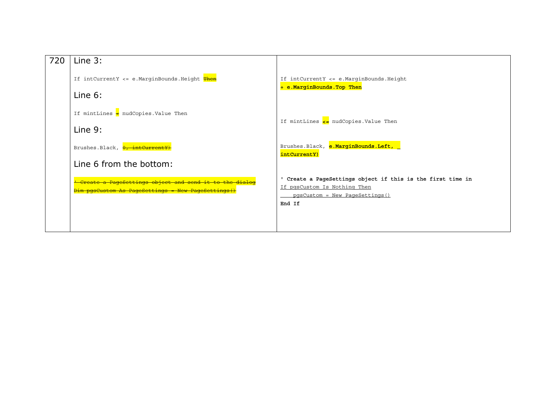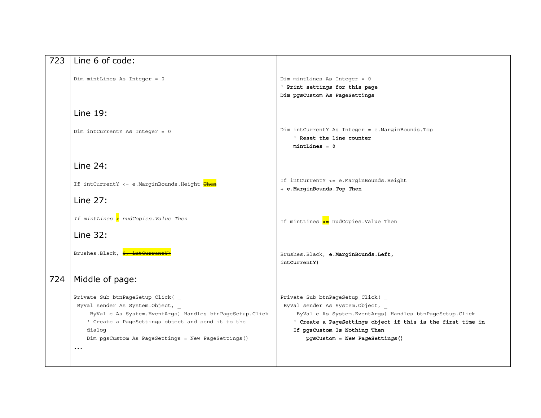| 723 | Line 6 of code:                                                                                                                                                                                                                                                          |                                                                                                                                                                                                                                                                   |
|-----|--------------------------------------------------------------------------------------------------------------------------------------------------------------------------------------------------------------------------------------------------------------------------|-------------------------------------------------------------------------------------------------------------------------------------------------------------------------------------------------------------------------------------------------------------------|
|     | Dim mintLines As Integer = 0                                                                                                                                                                                                                                             | Dim mintLines As Integer = 0<br>' Print settings for this page<br>Dim pgsCustom As PageSettings                                                                                                                                                                   |
|     | Line 19:                                                                                                                                                                                                                                                                 |                                                                                                                                                                                                                                                                   |
|     | Dim intCurrentY As Integer = 0                                                                                                                                                                                                                                           | Dim intCurrentY As Integer = e.MarginBounds.Top<br>' Reset the line counter<br>$mintLines = 0$                                                                                                                                                                    |
|     | Line $24$ :                                                                                                                                                                                                                                                              |                                                                                                                                                                                                                                                                   |
|     | If intCurrentY <= e.MarginBounds.Height Then                                                                                                                                                                                                                             | If intCurrentY <= e.MarginBounds.Height<br>+ e.MarginBounds.Top Then                                                                                                                                                                                              |
|     | <b>Line 27:</b>                                                                                                                                                                                                                                                          |                                                                                                                                                                                                                                                                   |
|     | If mintLines $\triangleleft$ nudCopies. Value Then                                                                                                                                                                                                                       | If mintLines $\leq$ nudCopies. Value Then                                                                                                                                                                                                                         |
|     | Line 32:                                                                                                                                                                                                                                                                 |                                                                                                                                                                                                                                                                   |
|     | Brushes.Black, <b>0, intCurre</b>                                                                                                                                                                                                                                        | Brushes.Black, e.MarginBounds.Left,<br>intCurrentY)                                                                                                                                                                                                               |
| 724 | Middle of page:                                                                                                                                                                                                                                                          |                                                                                                                                                                                                                                                                   |
|     | Private Sub btnPageSetup Click (<br>ByVal sender As System. Object, _<br>ByVal e As System. EventArgs) Handles btnPageSetup. Click<br>' Create a PageSettings object and send it to the<br>dialog<br>Dim pgsCustom As PageSettings = New PageSettings()<br>$\sim$ $\sim$ | Private Sub btnPageSetup Click (<br>ByVal sender As System. Object,<br>ByVal e As System. EventArgs) Handles btnPageSetup. Click<br>' Create a PageSettings object if this is the first time in<br>If pgsCustom Is Nothing Then<br>pgsCustom = New PageSettings() |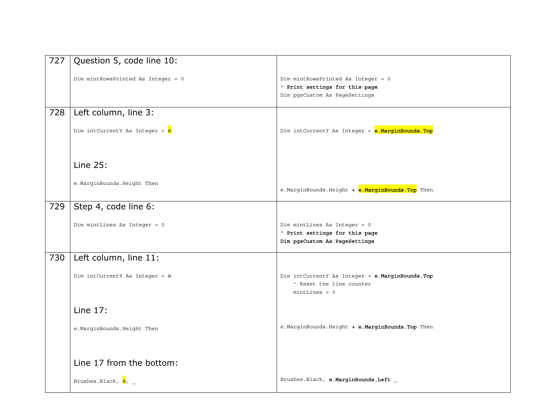| 727 | Question 5, code line 10:                       |                                                                                                       |
|-----|-------------------------------------------------|-------------------------------------------------------------------------------------------------------|
|     | Dim mintRowsPrinted As Integer = 0              | Dim mintRowsPrinted As Integer = 0<br>' Print settings for this page<br>Dim pgsCustom As PageSettings |
| 728 | Left column, line 3:                            |                                                                                                       |
|     | Dim intCurrentY As Integer = $\frac{1}{\theta}$ | Dim intCurrentY As Integer = e.MarginBounds.Top                                                       |
|     | Line 25:                                        |                                                                                                       |
|     | e.MarginBounds.Height Then                      | e.MarginBounds.Height + e.MarginBounds.Top Then                                                       |
| 729 | Step 4, code line 6:                            |                                                                                                       |
|     | Dim mintLines As Integer = 0                    | Dim mintLines As Integer = 0<br>' Print settings for this page<br>Dim pgsCustom As PageSettings       |
| 730 | Left column, line 11:                           |                                                                                                       |
|     | Dim intCurrentY As Integer = $\theta$           | Dim intCurrentY As Integer = e.MarginBounds.Top<br>' Reset the line counter<br>$minlines = 0$         |
|     | Line 17:                                        |                                                                                                       |
|     | e.MarginBounds.Height Then                      | e. MarginBounds. Height + e. MarginBounds. Top Then                                                   |
|     | Line 17 from the bottom:                        |                                                                                                       |
|     | Brushes.Black, $\frac{1}{\theta}$ , _           | Brushes.Black, e.MarginBounds.Left _                                                                  |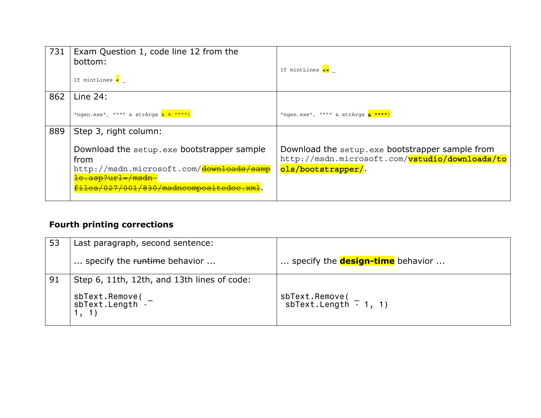| 731 | Exam Question 1, code line 12 from the<br>bottom:<br>If mintLines $\leftarrow$                                                                                          | If mintLines <=                                                                                                         |
|-----|-------------------------------------------------------------------------------------------------------------------------------------------------------------------------|-------------------------------------------------------------------------------------------------------------------------|
| 862 | Line $24$ :                                                                                                                                                             |                                                                                                                         |
|     | "ngen.exe", """" & strArgs <mark>&amp; " """")</mark>                                                                                                                   | "ngen.exe", """" & strArgs <mark>&amp; """")</mark>                                                                     |
| 889 | Step 3, right column:                                                                                                                                                   |                                                                                                                         |
|     | Download the setup.exe bootstrapper sample<br>from<br>http://msdn.microsoft.com/downloads/samp<br><del>le.asp?url=/msdn</del><br>files/027/001/830/msdncompositedoc.xml | Download the setup.exe bootstrapper sample from<br>http://msdn.microsoft.com/vstudio/downloads/to<br>ols/bootstrapper/. |

### **Fourth printing corrections**

| 53 | Last paragraph, second sentence:            |                                           |
|----|---------------------------------------------|-------------------------------------------|
|    | specify the runtime behavior                | specify the <b>design-time</b> behavior   |
| 91 | Step 6, 11th, 12th, and 13th lines of code: |                                           |
|    | sbText.Remove(<br>sbText.Length -           | $sbText.Remove($<br>sbText.Length - 1, 1) |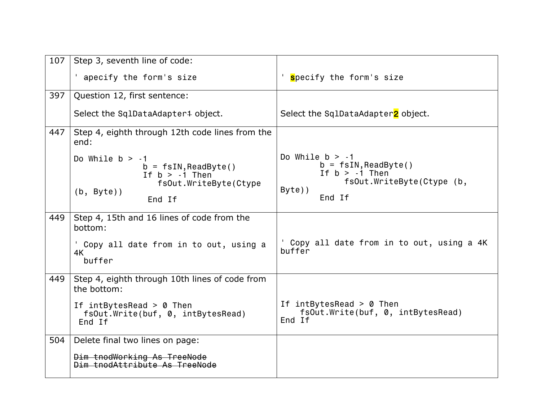| 107 | Step 3, seventh line of code:                                                                                                              |                                                                                                                             |
|-----|--------------------------------------------------------------------------------------------------------------------------------------------|-----------------------------------------------------------------------------------------------------------------------------|
|     | apecify the form's size                                                                                                                    | ' specify the form's size                                                                                                   |
| 397 | Question 12, first sentence:                                                                                                               |                                                                                                                             |
|     | Select the SqlDataAdapter <sup>4</sup> object.                                                                                             | Select the SqlDataAdapter2 object.                                                                                          |
| 447 | Step 4, eighth through 12th code lines from the<br>end:                                                                                    |                                                                                                                             |
|     | Do While $b > -1$<br>$b = f\sin, \text{ReadByte}()$<br>If $b > -1$ Then<br>fsOut.WriteByte(Ctype<br>$(b, Byte)$ )<br>End If                | Do While $b > -1$<br>$b = f\sin, \text{ReadByte}()$<br>If $b > -1$ Then<br>fsOut.WriteByte(Ctype (b,<br>$Byte)$ )<br>End If |
| 449 | Step 4, 15th and 16 lines of code from the<br>bottom:<br>Copy all date from in to out, using a<br>4K<br>buffer                             | ' Copy all date from in to out, using a 4K<br>buffer                                                                        |
| 449 | Step 4, eighth through 10th lines of code from<br>the bottom:<br>If $intBytesRead > 0$ Then<br>fsOut.Write(buf, 0, intBytesRead)<br>End If | If $intBytesRead > 0$ Then<br>fsOut.Write(buf, 0, intBytesRead)<br>End If                                                   |
| 504 | Delete final two lines on page:<br>Dim tnodWorking As TreeNode<br>Dim tnodAttribute As TreeNode                                            |                                                                                                                             |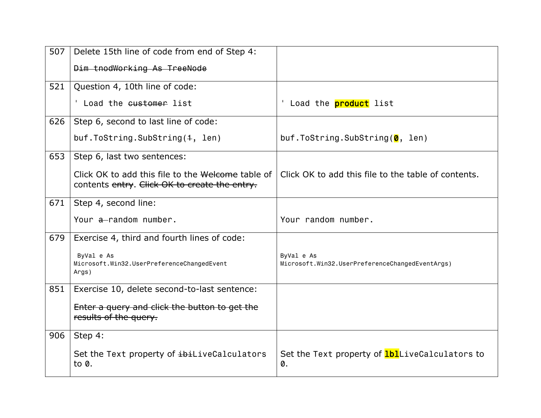| 507 | Delete 15th line of code from end of Step 4:                                                       |                                                               |
|-----|----------------------------------------------------------------------------------------------------|---------------------------------------------------------------|
|     | Dim tnodWorking As TreeNode                                                                        |                                                               |
| 521 | Question 4, 10th line of code:                                                                     |                                                               |
|     | Load the customer list                                                                             | Load the <b>product</b> list                                  |
| 626 | Step 6, second to last line of code:                                                               |                                                               |
|     | buf.ToString.SubString(4, len)                                                                     | buf.ToString.SubString( $\bm{\theta}$ , len)                  |
| 653 | Step 6, last two sentences:                                                                        |                                                               |
|     | Click OK to add this file to the Welcome table of<br>contents entry. Click OK to create the entry. | Click OK to add this file to the table of contents.           |
| 671 | Step 4, second line:                                                                               |                                                               |
|     | Your a-random number.                                                                              | Your random number.                                           |
| 679 | Exercise 4, third and fourth lines of code:                                                        |                                                               |
|     | ByVal e As<br>Microsoft.Win32.UserPreferenceChangedEvent<br>Args)                                  | ByVal e As<br>Microsoft.Win32.UserPreferenceChangedEventArgs) |
| 851 | Exercise 10, delete second-to-last sentence:                                                       |                                                               |
|     | Enter a query and click the button to get the<br>results of the query.                             |                                                               |
| 906 | Step 4:                                                                                            |                                                               |
|     | Set the Text property of ibiLiveCalculators<br>to $\theta$ .                                       | Set the Text property of <b>lbl</b> LiveCalculators to<br>0.  |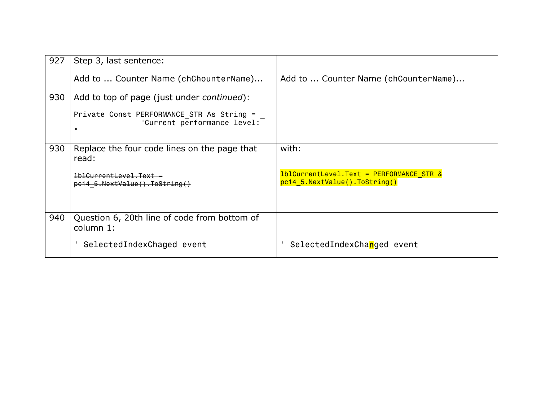| 927 | Step 3, last sentence:                                                                   |                                                                             |
|-----|------------------------------------------------------------------------------------------|-----------------------------------------------------------------------------|
|     | Add to  Counter Name (chChounterName)                                                    | Add to  Counter Name (chCounterName)                                        |
| 930 | Add to top of page (just under continued):                                               |                                                                             |
|     | Private Const PERFORMANCE STR As String =<br>"Current performance level:<br>$\mathbf{u}$ |                                                                             |
| 930 | Replace the four code lines on the page that<br>read:                                    | with:                                                                       |
|     | $1b1Current$ evel. Text =<br>$p$ c14 5.NextValue().ToString()                            | $1b1CurrentLevel.Text = PERFORMANCE STR &$<br>pc14 5.NextValue().ToString() |
| 940 | Question 6, 20th line of code from bottom of<br>column 1:                                |                                                                             |
|     | SelectedIndexChaged event                                                                | SelectedIndexChanged event                                                  |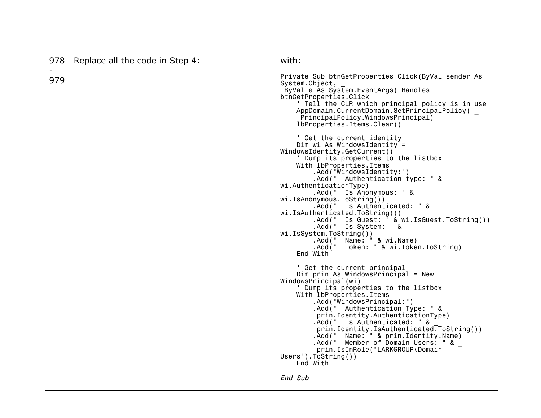| 978 | Replace all the code in Step 4: | with:                                                                                                                                                                                                                                                                                                                                                                            |
|-----|---------------------------------|----------------------------------------------------------------------------------------------------------------------------------------------------------------------------------------------------------------------------------------------------------------------------------------------------------------------------------------------------------------------------------|
| 979 |                                 | Private Sub btnGetProperties Click(ByVal sender As<br>System.Object,<br>ByVal e As System. EventArgs) Handles<br>btnGetProperties.Click<br>' Tell the CLR which principal policy is in use<br>AppDomain.CurrentDomain.SetPrincipalPolicy(<br>PrincipalPolicy.WindowsPrincipal)<br>lbProperties.Items.Clear()<br>' Get the current identity                                       |
|     |                                 | Dim wi As WindowsIdentity =<br>WindowsIdentity.GetCurrent()<br>' Dump its properties to the listbox<br>With 1bProperties. Items<br>.Add("WindowsIdentity:")<br>.Add(" Authentication type: " &<br>wi.AuthenticationType)                                                                                                                                                         |
|     |                                 | .Add(" Is Anonymous: " &<br>wi.IsAnonymous.ToString())<br>.Add(" Is Authenticated: " &<br>wi.IsAuthenticated.ToString())<br>Add(" Is Guest: " & wi.IsGuest.ToString()).<br>Add(" Is System: " &<br>wi.IsSystem.ToString())<br>Name: " & wi.Name)<br>. Add ( "                                                                                                                    |
|     |                                 | . Add ( "<br>Token: " & wi.Token.ToString)<br>End With<br>' Get the current principal<br>Dim prin As WindowsPrincipal = $New$<br>WindowsPrincipal(wi)<br>Dump its properties to the listbox<br>With 1bProperties. Items<br>.Add("WindowsPrincipal:")<br>.Add(" Authentication Type: " &<br>$prin$ . Identity. Authentication Type $\overline{)}$<br>.Add(" Is Authenticated: " & |
|     |                                 | prin.Identity.IsAuthenticated.ToString())<br>.Add(" Name: " & prin.Identity.Name)<br>.Add (" Member of Domain Users: " &<br>prin.IsInRole("LARKGROUP\Domain<br>$Users$ ").ToString())<br>End With<br>End Sub                                                                                                                                                                     |